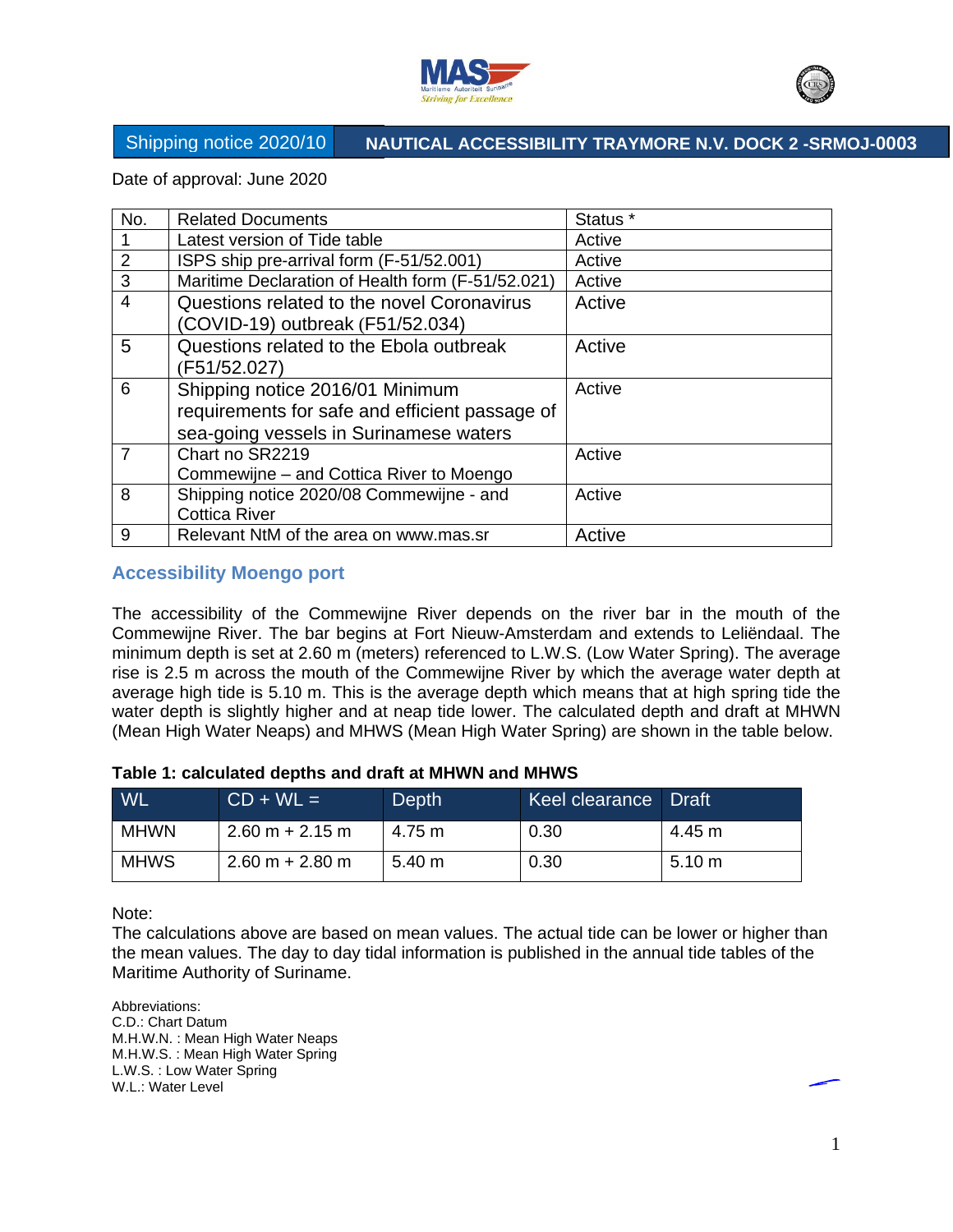



Date of approval: June 2020

| No.            | <b>Related Documents</b>                                                                                                    | Status <sup>*</sup> |
|----------------|-----------------------------------------------------------------------------------------------------------------------------|---------------------|
|                | Latest version of Tide table                                                                                                | Active              |
| 2              | ISPS ship pre-arrival form (F-51/52.001)                                                                                    | Active              |
| 3              | Maritime Declaration of Health form (F-51/52.021)                                                                           | Active              |
| $\overline{4}$ | Questions related to the novel Coronavirus<br>Active<br>(COVID-19) outbreak (F51/52.034)                                    |                     |
| 5              | Questions related to the Ebola outbreak<br>(F51/52.027)                                                                     | Active              |
| 6              | Shipping notice 2016/01 Minimum<br>requirements for safe and efficient passage of<br>sea-going vessels in Surinamese waters | Active              |
| $\overline{7}$ | Chart no SR2219<br>Commewijne – and Cottica River to Moengo                                                                 | Active              |
| 8              | Shipping notice 2020/08 Commewijne - and<br><b>Cottica River</b>                                                            | Active              |
| 9              | Relevant NtM of the area on www.mas.sr                                                                                      | Active              |

## **Accessibility Moengo port**

The accessibility of the Commewijne River depends on the river bar in the mouth of the Commewijne River. The bar begins at Fort Nieuw-Amsterdam and extends to Leliëndaal. The minimum depth is set at 2.60 m (meters) referenced to L.W.S. (Low Water Spring). The average rise is 2.5 m across the mouth of the Commewijne River by which the average water depth at average high tide is 5.10 m. This is the average depth which means that at high spring tide the water depth is slightly higher and at neap tide lower. The calculated depth and draft at MHWN (Mean High Water Neaps) and MHWS (Mean High Water Spring) are shown in the table below.

#### **Table 1: calculated depths and draft at MHWN and MHWS**

| <b>WL</b>   | $CD + WL =$       | Depth  | Keel clearance Draft |        |
|-------------|-------------------|--------|----------------------|--------|
| <b>MHWN</b> | $2.60 m + 2.15 m$ | 4.75 m | 0.30                 | 4.45 m |
| <b>MHWS</b> | $2.60 m + 2.80 m$ | 5.40 m | 0.30                 | 5.10 m |

Note:

The calculations above are based on mean values. The actual tide can be lower or higher than the mean values. The day to day tidal information is published in the annual tide tables of the Maritime Authority of Suriname.

Abbreviations: C.D.: Chart Datum M.H.W.N. : Mean High Water Neaps M.H.W.S. : Mean High Water Spring L.W.S. : Low Water Spring W.L.: Water Level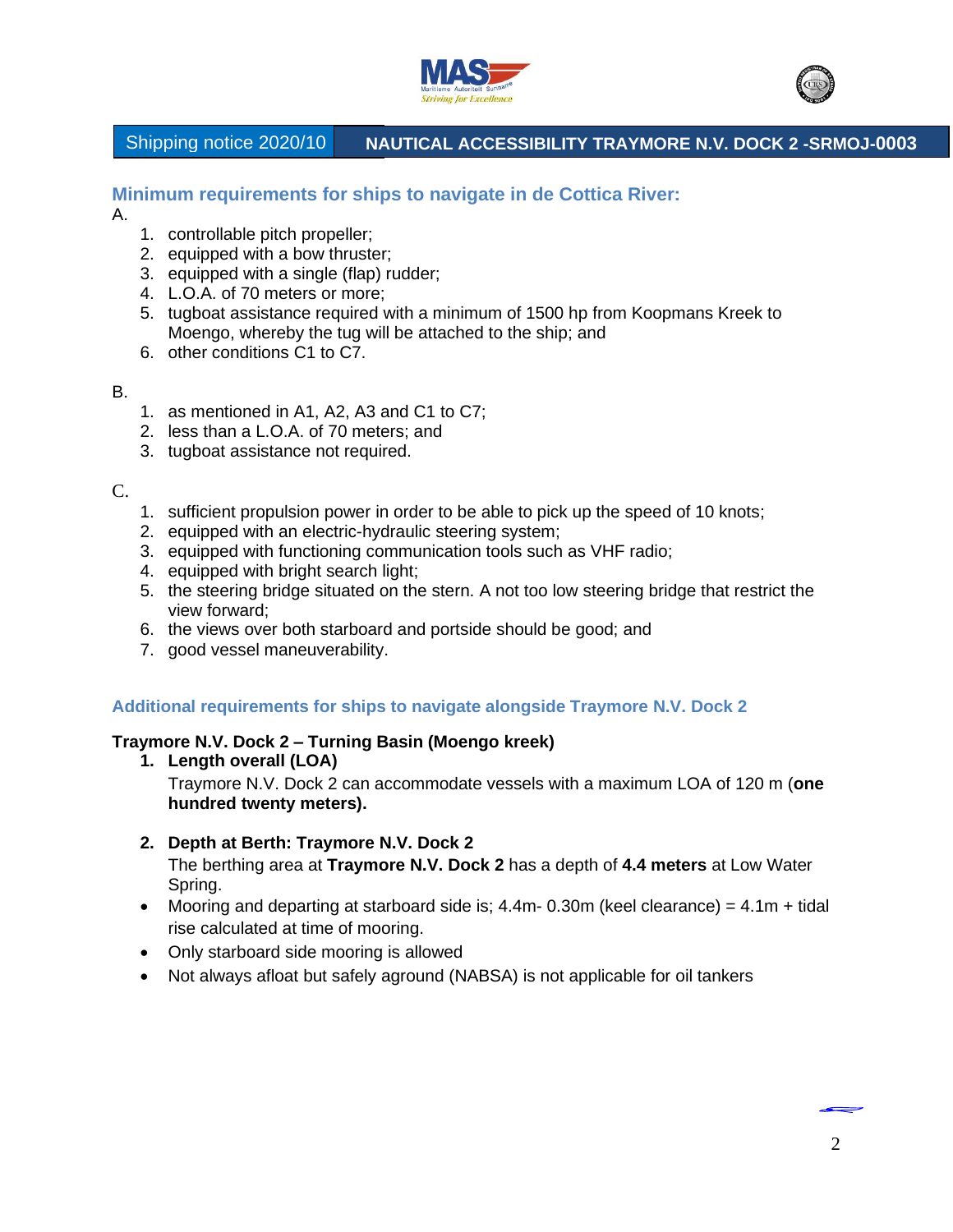



**Minimum requirements for ships to navigate in de Cottica River:** 

A.

- 1. controllable pitch propeller;
- 2. equipped with a bow thruster;
- 3. equipped with a single (flap) rudder;
- 4. L.O.A. of 70 meters or more;
- 5. tugboat assistance required with a minimum of 1500 hp from Koopmans Kreek to Moengo, whereby the tug will be attached to the ship; and
- 6. other conditions C1 to C7.

### B.

- 1. as mentioned in A1, A2, A3 and C1 to C7;
- 2. less than a L.O.A. of 70 meters; and
- 3. tugboat assistance not required.

C.

- 1. sufficient propulsion power in order to be able to pick up the speed of 10 knots;
- 2. equipped with an electric-hydraulic steering system;
- 3. equipped with functioning communication tools such as VHF radio;
- 4. equipped with bright search light;
- 5. the steering bridge situated on the stern. A not too low steering bridge that restrict the view forward;
- 6. the views over both starboard and portside should be good; and
- 7. good vessel maneuverability.

## **Additional requirements for ships to navigate alongside Traymore N.V. Dock 2**

### **Traymore N.V. Dock 2 – Turning Basin (Moengo kreek)**

- **1. Length overall (LOA)** Traymore N.V. Dock 2 can accommodate vessels with a maximum LOA of 120 m (**one hundred twenty meters).**
- **2. Depth at Berth: Traymore N.V. Dock 2**

The berthing area at **Traymore N.V. Dock 2** has a depth of **4.4 meters** at Low Water Spring.

- Mooring and departing at starboard side is;  $4.4$ m- 0.30m (keel clearance) =  $4.1$ m + tidal rise calculated at time of mooring.
- Only starboard side mooring is allowed
- Not always afloat but safely aground (NABSA) is not applicable for oil tankers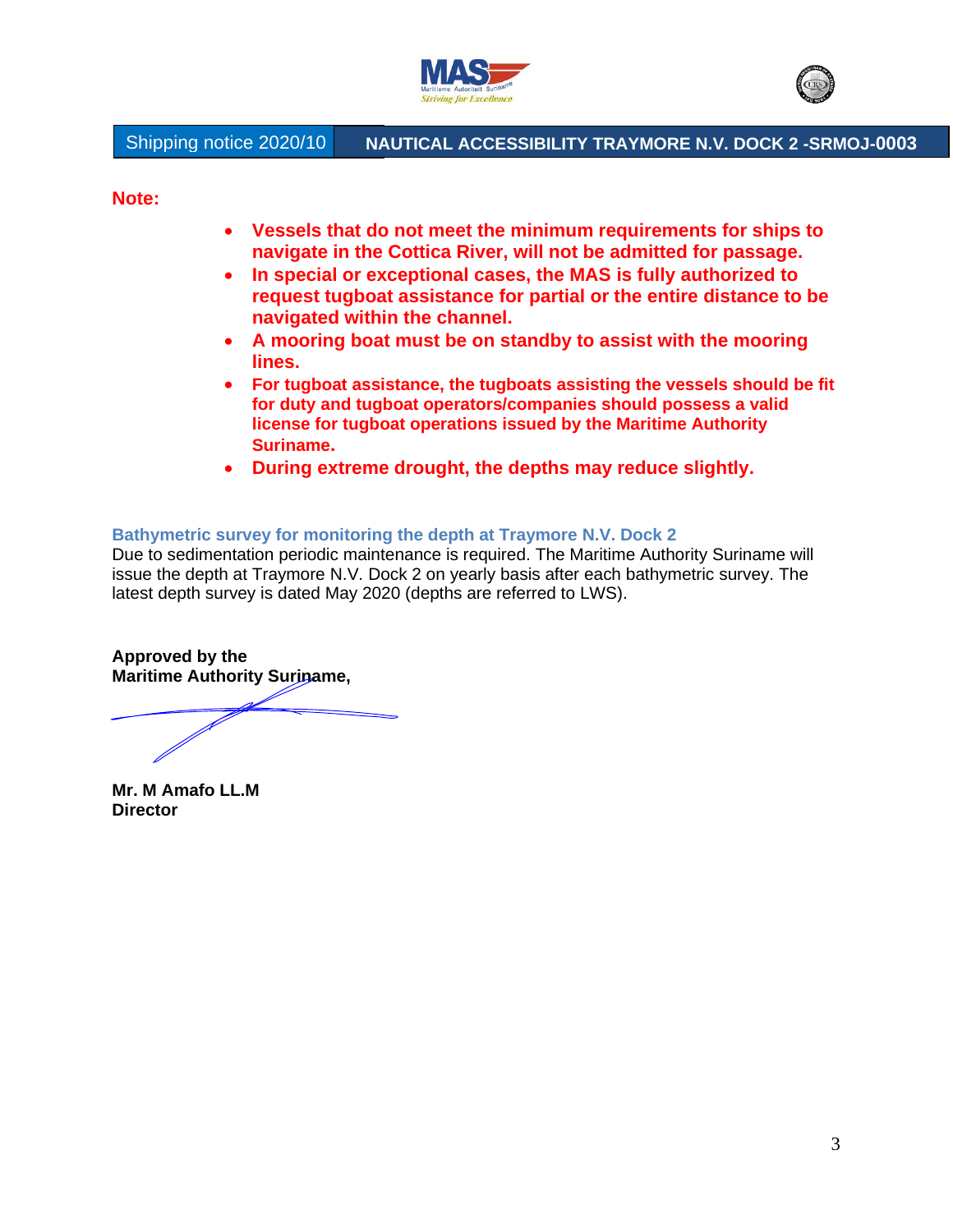



**Note:** 

- **Vessels that do not meet the minimum requirements for ships to navigate in the Cottica River, will not be admitted for passage.**
- **In special or exceptional cases, the MAS is fully authorized to request tugboat assistance for partial or the entire distance to be navigated within the channel.**
- **A mooring boat must be on standby to assist with the mooring lines.**
- **For tugboat assistance, the tugboats assisting the vessels should be fit for duty and tugboat operators/companies should possess a valid license for tugboat operations issued by the Maritime Authority Suriname.**
- **During extreme drought, the depths may reduce slightly.**

#### **Bathymetric survey for monitoring the depth at Traymore N.V. Dock 2**

Due to sedimentation periodic maintenance is required. The Maritime Authority Suriname will issue the depth at Traymore N.V. Dock 2 on yearly basis after each bathymetric survey. The latest depth survey is dated May 2020 (depths are referred to LWS).

**Approved by the Maritime Authority Suriname,**

**Mr. M Amafo LL.M Director**